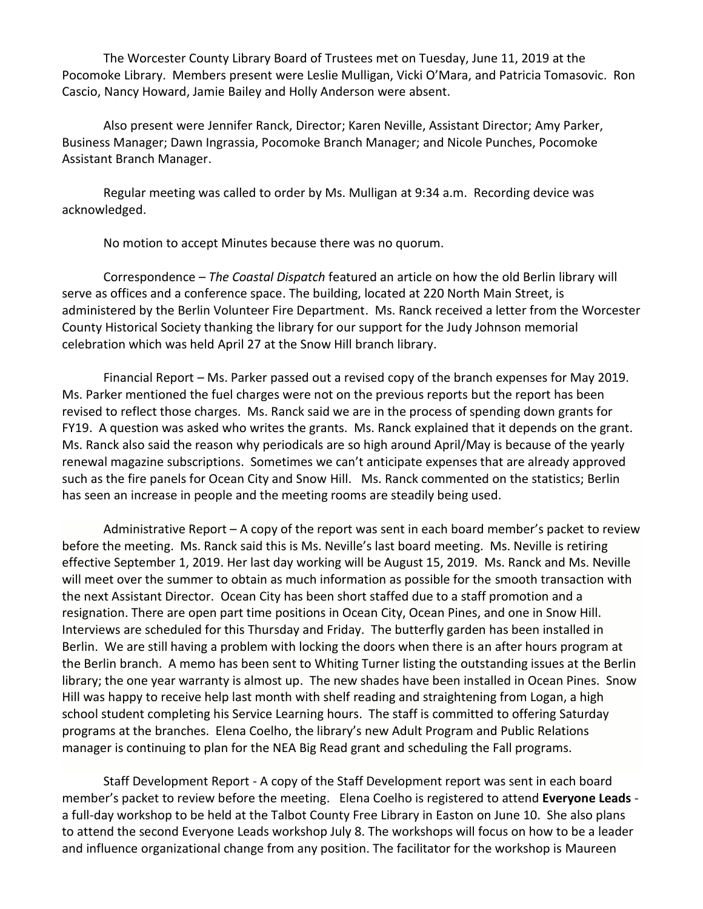The Worcester County Library Board of Trustees met on Tuesday, June 11, 2019 at the Pocomoke Library. Members present were Leslie Mulligan, Vicki O'Mara, and Patricia Tomasovic. Ron Cascio, Nancy Howard, Jamie Bailey and Holly Anderson were absent.

Also present were Jennifer Ranck, Director; Karen Neville, Assistant Director; Amy Parker, Business Manager; Dawn Ingrassia, Pocomoke Branch Manager; and Nicole Punches, Pocomoke Assistant Branch Manager.

Regular meeting was called to order by Ms. Mulligan at 9:34 a.m. Recording device was acknowledged.

No motion to accept Minutes because there was no quorum.

Correspondence – *The Coastal Dispatch* featured an article on how the old Berlin library will serve as offices and a conference space. The building, located at 220 North Main Street, is administered by the Berlin Volunteer Fire Department. Ms. Ranck received a letter from the Worcester County Historical Society thanking the library for our support for the Judy Johnson memorial celebration which was held April 27 at the Snow Hill branch library.

Financial Report – Ms. Parker passed out a revised copy of the branch expenses for May 2019. Ms. Parker mentioned the fuel charges were not on the previous reports but the report has been revised to reflect those charges. Ms. Ranck said we are in the process of spending down grants for FY19. A question was asked who writes the grants. Ms. Ranck explained that it depends on the grant. Ms. Ranck also said the reason why periodicals are so high around April/May is because of the yearly renewal magazine subscriptions. Sometimes we can't anticipate expenses that are already approved such as the fire panels for Ocean City and Snow Hill. Ms. Ranck commented on the statistics; Berlin has seen an increase in people and the meeting rooms are steadily being used.

Administrative Report – A copy of the report was sent in each board member's packet to review before the meeting. Ms. Ranck said this is Ms. Neville's last board meeting. Ms. Neville is retiring effective September 1, 2019. Her last day working will be August 15, 2019. Ms. Ranck and Ms. Neville will meet over the summer to obtain as much information as possible for the smooth transaction with the next Assistant Director. Ocean City has been short staffed due to a staff promotion and a resignation. There are open part time positions in Ocean City, Ocean Pines, and one in Snow Hill. Interviews are scheduled for this Thursday and Friday. The butterfly garden has been installed in Berlin. We are still having a problem with locking the doors when there is an after hours program at the Berlin branch. A memo has been sent to Whiting Turner listing the outstanding issues at the Berlin library; the one year warranty is almost up. The new shades have been installed in Ocean Pines. Snow Hill was happy to receive help last month with shelf reading and straightening from Logan, a high school student completing his Service Learning hours. The staff is committed to offering Saturday programs at the branches. Elena Coelho, the library's new Adult Program and Public Relations manager is continuing to plan for the NEA Big Read grant and scheduling the Fall programs.

Staff Development Report - A copy of the Staff Development report was sent in each board member's packet to review before the meeting. Elena Coelho is registered to attend **Everyone Leads** a full-day workshop to be held at the Talbot County Free Library in Easton on June 10. She also plans to attend the second Everyone Leads workshop July 8. The workshops will focus on how to be a leader and influence organizational change from any position. The facilitator for the workshop is Maureen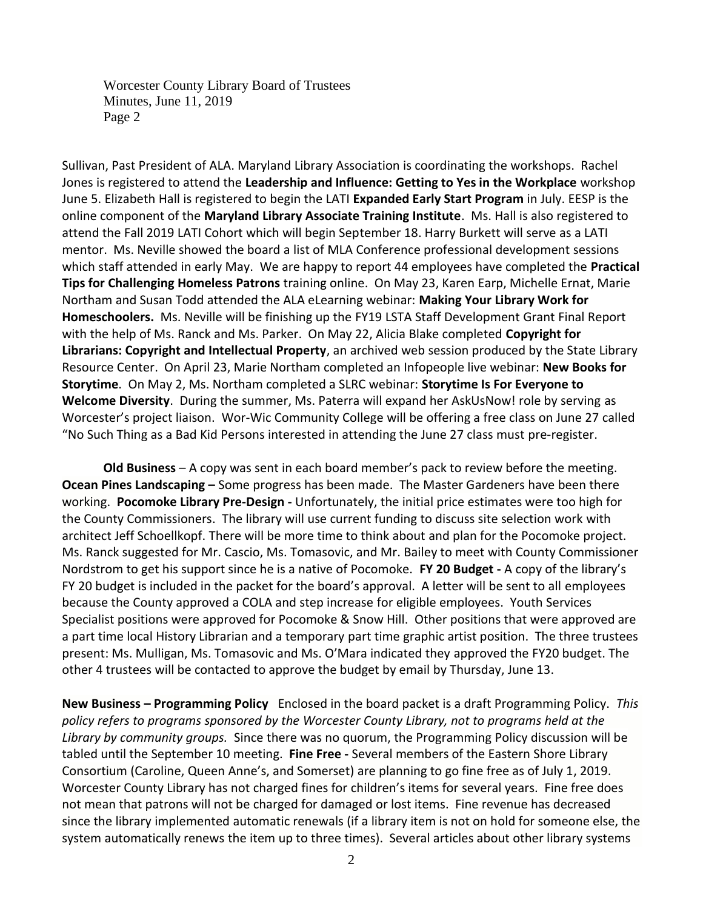Worcester County Library Board of Trustees Minutes, June 11, 2019 Page 2

Sullivan, Past President of ALA. Maryland Library Association is coordinating the workshops. Rachel Jones is registered to attend the **Leadership and Influence: Getting to Yes in the Workplace** workshop June 5. Elizabeth Hall is registered to begin the LATI **Expanded Early Start Program** in July. EESP is the online component of the **Maryland Library Associate Training Institute**. Ms. Hall is also registered to attend the Fall 2019 LATI Cohort which will begin September 18. Harry Burkett will serve as a LATI mentor. Ms. Neville showed the board a list of MLA Conference professional development sessions which staff attended in early May. We are happy to report 44 employees have completed the **Practical Tips for Challenging Homeless Patrons** training online. On May 23, Karen Earp, Michelle Ernat, Marie Northam and Susan Todd attended the ALA eLearning webinar: **Making Your Library Work for Homeschoolers.** Ms. Neville will be finishing up the FY19 LSTA Staff Development Grant Final Report with the help of Ms. Ranck and Ms. Parker. On May 22, Alicia Blake completed **Copyright for Librarians: Copyright and Intellectual Property**, an archived web session produced by the State Library Resource Center. On April 23, Marie Northam completed an Infopeople live webinar: **New Books for Storytime**. On May 2, Ms. Northam completed a SLRC webinar: **Storytime Is For Everyone to Welcome Diversity**. During the summer, Ms. Paterra will expand her AskUsNow! role by serving as Worcester's project liaison. Wor-Wic Community College will be offering a free class on June 27 called "No Such Thing as a Bad Kid Persons interested in attending the June 27 class must pre-register.

**Old Business** – A copy was sent in each board member's pack to review before the meeting. **Ocean Pines Landscaping –** Some progress has been made. The Master Gardeners have been there working. **Pocomoke Library Pre-Design -** Unfortunately, the initial price estimates were too high for the County Commissioners. The library will use current funding to discuss site selection work with architect Jeff Schoellkopf. There will be more time to think about and plan for the Pocomoke project. Ms. Ranck suggested for Mr. Cascio, Ms. Tomasovic, and Mr. Bailey to meet with County Commissioner Nordstrom to get his support since he is a native of Pocomoke. **FY 20 Budget -** A copy of the library's FY 20 budget is included in the packet for the board's approval. A letter will be sent to all employees because the County approved a COLA and step increase for eligible employees. Youth Services Specialist positions were approved for Pocomoke & Snow Hill. Other positions that were approved are a part time local History Librarian and a temporary part time graphic artist position. The three trustees present: Ms. Mulligan, Ms. Tomasovic and Ms. O'Mara indicated they approved the FY20 budget. The other 4 trustees will be contacted to approve the budget by email by Thursday, June 13.

**New Business – Programming Policy** Enclosed in the board packet is a draft Programming Policy. *This policy refers to programs sponsored by the Worcester County Library, not to programs held at the Library by community groups.* Since there was no quorum, the Programming Policy discussion will be tabled until the September 10 meeting. **Fine Free -** Several members of the Eastern Shore Library Consortium (Caroline, Queen Anne's, and Somerset) are planning to go fine free as of July 1, 2019. Worcester County Library has not charged fines for children's items for several years. Fine free does not mean that patrons will not be charged for damaged or lost items. Fine revenue has decreased since the library implemented automatic renewals (if a library item is not on hold for someone else, the system automatically renews the item up to three times). Several articles about other library systems